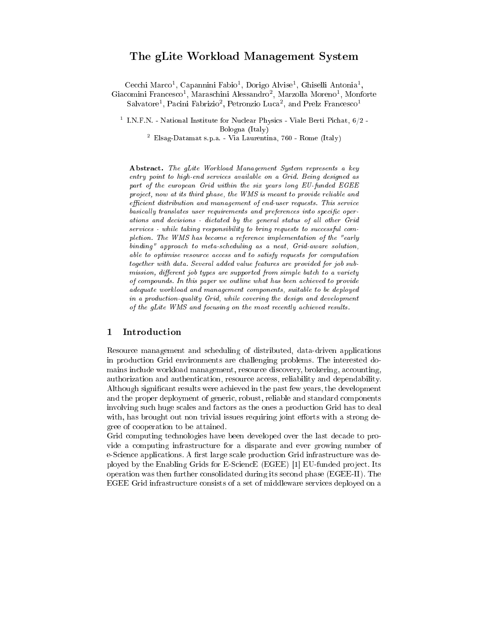# The gLite Workload Management System

Cecchi Marco<sup>1</sup>, Capannini Fabio<sup>1</sup>, Dorigo Alvise<sup>1</sup>, Ghiselli Antonia<sup>1</sup>, Giacomini Francesco<sup>1</sup>, Maraschini Alessandro<sup>2</sup>, Marzolla Moreno<sup>1</sup>, Monforte

Salvatore<sup>1</sup>, Pacini Fabrizio<sup>2</sup>, Petronzio Luca<sup>2</sup>, and Prelz Francesco<sup>1</sup>

 $^1\,$  I.N.F.N. - National Institute for Nuclear Physics - Viale Berti Pichat,  $6/2$  -Bologna (Italy)

<sup>2</sup> Elsag-Datamat s.p.a. - Via Laurentina, 760 - Rome (Italy)

Abstract. The gLite Workload Management System represents a key entry point to high end services available on a Grid. Being designed as part of the european Grid within the six years long EU-funded EGEE project, now at its third phase, the WMS is meant to provide reliable and efficient distribution and management of end-user requests. This service basically translates user requirements and preferences into specific operations and decisions - dictated by the general status of all other Grid services - while taking responsibility to bring requests to successful completion. The WMS has become a reference implementation of the "early binding" approach to meta-scheduling as a neat, Grid-aware solution, able to optimise resource access and to satisfy requests for computation together with data. Several added value features are provided for job submission, different job types are supported from simple batch to a variety of compounds. In this paper we outline what has been achieved to provide adequate workload and management components, suitable to be deployed in a production-quality Grid, while covering the design and development of the gLite WMS and focusing on the most recently achieved results.

#### 1 Introduction

Resource management and scheduling of distributed, data-driven applications in production Grid environments are challenging problems. The interested domains include workload management, resource discovery, brokering, accounting, authorization and authentication, resource access, reliability and dependability. Although significant results were achieved in the past few years, the development and the proper deployment of generic, robust, reliable and standard components involving such huge scales and factors as the ones a production Grid has to deal with, has brought out non trivial issues requiring joint efforts with a strong degree of cooperation to be attained.

Grid computing technologies have been developed over the last decade to provide a computing infrastructure for a disparate and ever growing number of e-Science applications. A first large scale production Grid infrastructure was deployed by the Enabling Grids for E-SciencE (EGEE) [1] EU-funded project. Its operation was then further consolidated during its second phase (EGEE-II). The EGEE Grid infrastructure consists of a set of middleware services deployed on a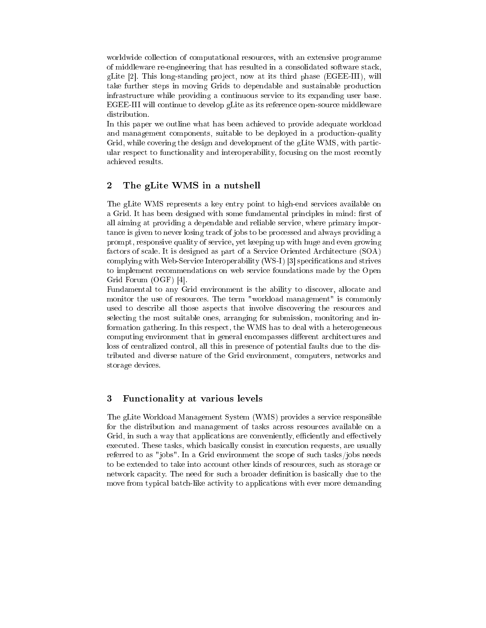worldwide collection of computational resources, with an extensive programme of middleware re-engineering that has resulted in a onsolidated software sta
k, gLite [2]. This long-standing project, now at its third phase (EGEE-III), will take further steps in moving Grids to dependable and sustainable produ
tion infrastru
ture while providing a ontinuous servi
e to its expanding user base. EGEE-III will ontinue to develop gLite as its referen
e open-sour
e middleware distribution.

In this paper we outline what has been achieved to provide adequate workload and management components, suitable to be deployed in a production-quality Grid, while covering the design and development of the gLite WMS, with particular respe
t to fun
tionality and interoperability, fo
using on the most re
ently a
hieved results.

#### $\overline{2}$ The gLite WMS in <sup>a</sup> nutshell

The gLite WMS represents a key entry point to high-end servi
es available on a Grid. It has been designed with some fundamental principles in mind: first of all aiming at providing a dependable and reliable servi
e, where primary importance is given to never losing track of jobs to be processed and always providing a prompt, responsive quality of servi
e, yet keeping up with huge and even growing factors of scale. It is designed as part of a Service Oriented Architecture (SOA) complying with Web-Service Interoperability (WS-I) [3] specifications and strives to implement re
ommendations on web servi
e foundations made by the Open Grid Forum  $(OGF)$  [4].

Fundamental to any Grid environment is the ability to discover, allocate and monitor the use of resour
es. The term "workload management" is ommonly used to describe all those aspects that involve discovering the resources and sele
ting the most suitable ones, arranging for submission, monitoring and information gathering. In this respe
t, the WMS has to deal with a heterogeneous computing environment that in general encompasses different architectures and loss of entralized ontrol, all this in presen
e of potential faults due to the distributed and diverse nature of the Grid environment, omputers, networks and storage devi
es.

#### 3 Fun
tionality at various levels

The gLite Workload Management System (WMS) provides a servi
e responsible for the distribution and management of tasks a
ross resour
es available on a Grid, in such a way that applications are conveniently, efficiently and effectively executed. These tasks, which basically consist in execution requests, are usually referred to as "jobs". In a Grid environment the s
ope of su
h tasks/jobs needs to be extended to take into account other kinds of resources, such as storage or network capacity. The need for such a broader definition is basically due to the move from typical batch-like activity to applications with ever more demanding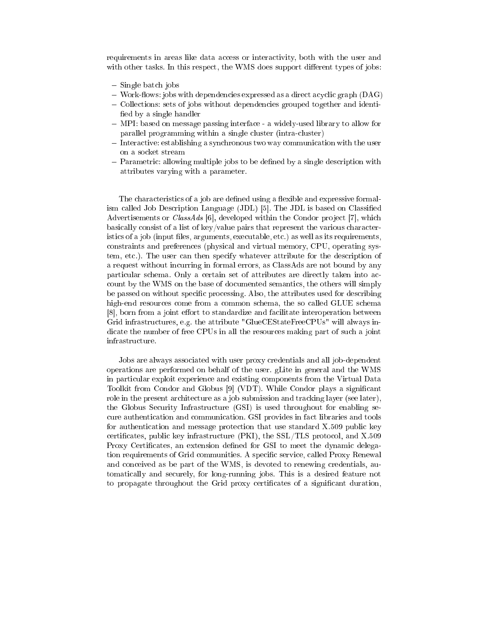requirements in areas like data access or interactivity, both with the user and with other tasks. In this respect, the WMS does support different types of jobs:

- Single batch jobs
- Work-flows: jobs with dependencies expressed as a direct acyclic graph (DAG)
- Colle
tions: sets of jobs without dependen
ies grouped together and identi fied by a single handler
- MPI: based on message passing interfa
e a widely-used library to allow for parallel programming within a single luster (intraluster)
- Interactive: establishing a synchronous two way communication with the user on a so
ket stream
- Parametric: allowing multiple jobs to be defined by a single description with attributes varying with a parameter.

The characteristics of a job are defined using a flexible and expressive formalism called Job Description Language (JDL) [5]. The JDL is based on Classified Advertisements or  $ClassAds$  [6], developed within the Condor project [7], which basically consist of a list of key/value pairs that represent the various characteristics of a job (input files, arguments, executable, etc.) as well as its requirements, onstraints and preferen
es (physi
al and virtual memory, CPU, operating system, etc.). The user can then specify whatever attribute for the description of a request without incurring in formal errors, as ClassAds are not bound by any particular schema. Only a certain set of attributes are directly taken into account by the WMS on the base of documented semantics, the others will simply be passed on without specific processing. Also, the attributes used for describing high-end resources come from a common schema, the so called GLUE schema [8], born from a joint effort to standardize and facilitate interoperation between Grid infrastru
tures, e.g. the attribute "GlueCEStateFreeCPUs" will always indicate the number of free CPUs in all the resources making part of such a joint infrastructure.

Jobs are always asso
iated with user proxy redentials and all job-dependent operations are performed on behalf of the user. gLite in general and the WMS in particular exploit experience and existing components from the Virtual Data Toolkit from Condor and Globus [9] (VDT). While Condor plays a significant role in the present architecture as a job submission and tracking layer (see later), the Globus Security Infrastructure (GSI) is used throughout for enabling seure authenti
ation and ommuni
ation. GSI provides in fa
t libraries and tools for authentication and message protection that use standard X.509 public key certificates, public key infrastructure (PKI), the SSL/TLS protocol, and X.509 Proxy Certificates, an extension defined for GSI to meet the dynamic delegation requirements of Grid communities. A specific service, called Proxy Renewal and conceived as be part of the WMS, is devoted to renewing credentials, automatically and securely, for long-running jobs. This is a desired feature not to propagate throughout the Grid proxy certificates of a significant duration,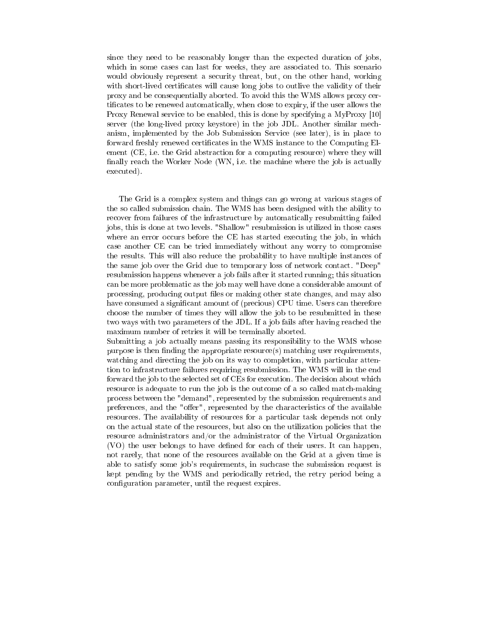since they need to be reasonably longer than the expected duration of jobs, which in some cases can last for weeks, they are associated to. This scenario would obviously represent a security threat, but, on the other hand, working with short-lived certificates will cause long jobs to outlive the validity of their proxy and be onsequentially aborted. To avoid this the WMS allows proxy ertificates to be renewed automatically, when close to expiry, if the user allows the Proxy Renewal service to be enabled, this is done by specifying a MyProxy [10] server (the long-lived proxy keystore) in the job JDL. Another similar me
hanism, implemented by the Job Submission Servi
e (see later), is in pla
e to forward freshly renewed certificates in the WMS instance to the Computing Element (CE, i.e. the Grid abstraction for a computing resource) where they will finally reach the Worker Node (WN, i.e. the machine where the job is actually executed).

The Grid is a omplex system and things an go wrong at various stages of the so called submission chain. The WMS has been designed with the ability to recover from failures of the infrastructure by automatically resubmitting failed jobs, this is done at two levels. "Shallow" resubmission is utilized in those ases where an error occurs before the CE has started executing the job, in which case another CE can be tried immediately without any worry to compromise the results. This will also redu
e the probability to have multiple instan
es of the same job over the Grid due to temporary loss of network contact. "Deep" resubmission happens whenever a job fails after it started running; this situation an be more problemati as the job may well have done a onsiderable amount of pro
essing, produ
ing output les or making other state hanges, and may also have consumed a significant amount of (precious) CPU time. Users can therefore hoose the number of times they will allow the job to be resubmitted in these two ways with two parameters of the JDL. If a job fails after having reached the maximum number of retries it will be terminally aborted.

Submitting a job a
tually means passing its responsibility to the WMS whose purpose is then finding the appropriate resource(s) matching user requirements, watching and directing the job on its way to completion, with particular attention to infrastructure failures requiring resubmission. The WMS will in the end forward the job to the selected set of CEs for execution. The decision about which resource is adequate to run the job is the outcome of a so called match-making pro
ess between the "demand", represented by the submission requirements and preferences, and the "offer", represented by the characteristics of the available resources. The availability of resources for a particular task depends not only on the a
tual state of the resour
es, but also on the utilization poli
ies that the resour
e administrators and/or the administrator of the Virtual Organization (VO) the user belongs to have defined for each of their users. It can happen, not rarely, that none of the resour
es available on the Grid at a given time is able to satisfy some job's requirements, in such case the submission request is kept pending by the WMS and periodi
ally retried, the retry period being a configuration parameter, until the request expires.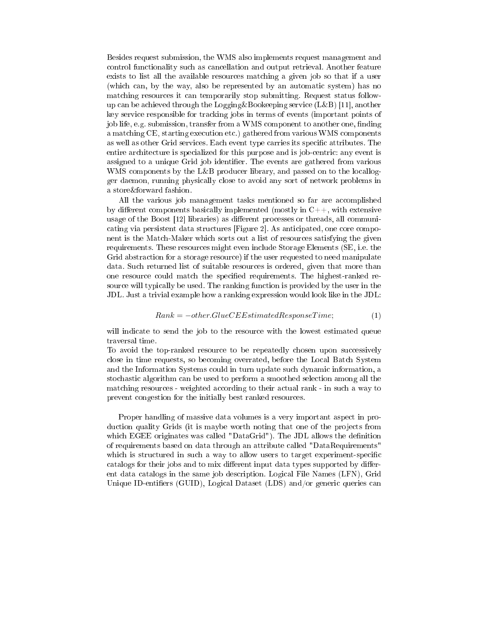Besides request submission, the WMS also implements request management and ontrol fun
tionality su
h as an
ellation and output retrieval. Another feature exists to list all the available resour
es mat
hing a given job so that if a user (which can, by the way, also be represented by an automatic system) has no mat
hing resour
es it an temporarily stop submitting. Request status followup can be achieved through the Logging & Bookeeping service  $(L&B)$  [11], another key servi
e responsible for tra
king jobs in terms of events (important points of job life, e.g. submission, transfer from a WMS component to another one, finding a mat
hing CE, starting exe
ution et
.) gathered from various WMS omponents as well as other Grid servi
es. Ea
h event type arries its spe
i attributes. The entire architecture is specialized for this purpose and is job-centric: any event is assigned to a unique Grid job identifier. The events are gathered from various WMS components by the L&B producer library, and passed on to the local logger daemon, running physi
ally lose to avoid any sort of network problems in a store&forward fashion.

All the various job management tasks mentioned so far are accomplished by different components basically implemented (mostly in  $C_{++}$ , with extensive usage of the Boost  $[12]$  libraries) as different processes or threads, all communicating via persistent data structures [Figure 2]. As anticipated, one core component is the Mat
h-Maker whi
h sorts out a list of resour
es satisfying the given requirements. These resources might even include Storage Elements (SE, i.e. the Grid abstraction for a storage resource) if the user requested to need manipulate data. Such returned list of suitable resources is ordered, given that more than one resource could match the specified requirements. The highest-ranked resour
e will typi
ally be used. The ranking fun
tion is provided by the user in the JDL. Just a trivial example how a ranking expression would look like in the JDL:

### $Rank = -other.GlueCEEstimatedResponseTime;$  (1)

will indicate to send the job to the resource with the lowest estimated queue traversal time.

To avoid the top-ranked resource to be repeatedly chosen upon successively close in time requests, so becoming overrated, before the Local Batch System and the Information Systems could in turn update such dynamic information, a sto
hasti algorithm an be used to perform a smoothed sele
tion among all the matching resources - weighted according to their actual rank - in such a way to prevent ongestion for the initially best ranked resour
es.

Proper handling of massive data volumes is a very important aspect in production quality Grids (it is maybe worth noting that one of the projects from which EGEE originates was called "DataGrid"). The JDL allows the definition of requirements based on data through an attribute alled "DataRequirements" which is structured in such a way to allow users to target experiment-specific catalogs for their jobs and to mix different input data types supported by different data atalogs in the same job des
ription. Logi
al File Names (LFN), Grid Unique ID-entifiers (GUID), Logical Dataset (LDS) and/or generic queries can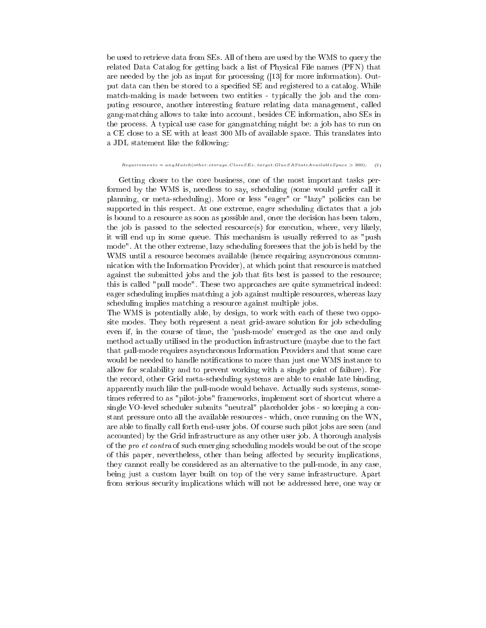be used to retrieve data from SEs. All of them are used by the WMS to query the related Data Catalog for getting ba
k a list of Physi
al File names (PFN) that are needed by the job as input for processing  $(13]$  for more information). Output data can then be stored to a specified SE and registered to a catalog. While match-making is made between two entities - typically the job and the computing resour
e, another interesting feature relating data management, alled gang-matching allows to take into account, besides CE information, also SEs in the process. A typical use case for gangmatching might be: a job has to run on a CE lose to a SE with at least 300 Mb of available spa
e. This translates into a JDL statement like the following:

### $Requirements = any Match(other.st orange.CloseSEs, target.GlueSAStateAvailableSpace > 300);$  (2)

Getting loser to the ore business, one of the most important tasks performed by the WMS is, needless to say, scheduling (some would prefer call it planning, or meta-scheduling). More or less "eager" or "lazy" policies can be supported in this respect. At one extreme, eager scheduling dictates that a job is bound to a resour
e as soon as possible and, on
e the de
ision has been taken, the job is passed to the selected resource(s) for execution, where, very likely, it will end up in some queue. This me
hanism is usually referred to as "push mode". At the other extreme, lazy s
heduling foresees that the job is held by the WMS until a resource becomes available (hence requiring asyncronous communication with the Information Provider), at which point that resource is matched against the submitted jobs and the job that fits best is passed to the resource; this is alled "pull mode". These two approa
hes are quite symmetri
al indeed: eager scheduling implies matching a job against multiple resources, whereas lazy scheduling implies matching a resource against multiple jobs.

The WMS is potentially able, by design, to work with each of these two opposite modes. They both represent a neat grid-aware solution for job s
heduling even if, in the ourse of time, the 'push-mode' emerged as the one and only method actually utilised in the production infrastructure (maybe due to the fact that pull-mode requires asyn
hronous Information Providers and that some are would be needed to handle notifications to more than just one WMS instance to allow for s
alability and to prevent working with a single point of failure). For the re
ord, other Grid meta-s
heduling systems are able to enable late binding, apparently mu
h like the pull-mode would behave. A
tually su
h systems, sometimes referred to as "pilot-jobs" frameworks, implement sort of shortcut where a single VO-level scheduler submits "neutral" placeholder jobs - so keeping a constant pressure onto all the available resour
es - whi
h, on
e running on the WN, are able to finally call forth end-user jobs. Of course such pilot jobs are seen (and accounted) by the Grid infrastructure as any other user job. A thorough analysis of the *pro et contra* of such emerging scheduling models would be out of the scope of this paper, nevertheless, other than being affected by security implications, they annot really be onsidered as an alternative to the pull-mode, in any ase, being just a custom layer built on top of the very same infrastructure. Apart from serious se
urity impli
ations whi
h will not be addressed here, one way or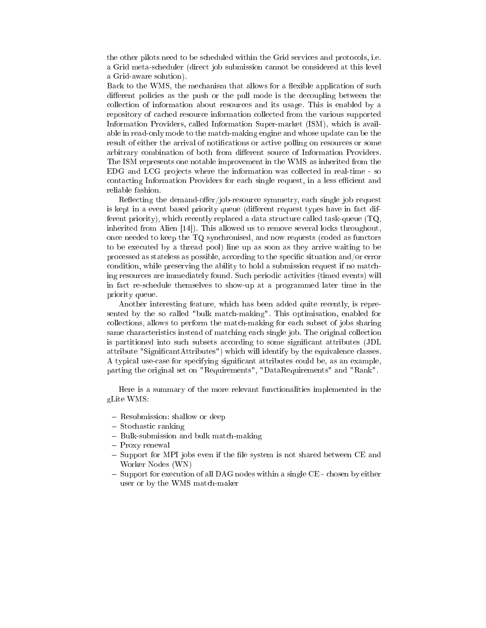the other pilots need to be s
heduled within the Grid servi
es and proto
ols, i.e. a Grid meta-s
heduler (dire
t job submission annot be onsidered at this level a Grid-aware solution).

Back to the WMS, the mechanism that allows for a flexible application of such different policies as the push or the pull mode is the decoupling between the olle
tion of information about resour
es and its usage. This is enabled by a repository of a
hed resour
e information olle
ted from the various supported Information Providers, called Information Super-market (ISM), which is available in read-only mode to the mat
h-making engine and whose update an be the result of either the arrival of notifications or active polling on resources or some arbitrary combination of both from different source of Information Providers. The ISM represents one notable improvement in the WMS as inherited from the EDG and LCG projects where the information was collected in real-time - so contacting Information Providers for each single request, in a less efficient and reliable fashion.

Reflecting the demand-offer/job-resource symmetry, each single job request is kept in a event based priority queue (different request types have in fact different priority), which recently replaced a data structure called task-queue  $(TQ,$ inherited from Alien  $[14]$ . This allowed us to remove several locks throughout, once needed to keep the TQ synchronised, and now requests (coded as functors to be exe
uted by a thread pool) line up as soon as they arrive waiting to be processed as stateless as possible, according to the specific situation and/or error ondition, while preserving the ability to hold a submission request if no mat
hing resour
es are immediately found. Su
h periodi a
tivities (timed events) will in fa
t re-s
hedule themselves to show-up at a programmed later time in the priority queue.

Another interesting feature, which has been added quite recently, is represented by the so called "bulk match-making". This optimisation, enabled for olle
tions, allows to perform the mat
h-making for ea
h subset of jobs sharing same characteristics instead of matching each single job. The original collection is partitioned into such subsets according to some significant attributes (JDL attribute "Significant Attributes") which will identify by the equivalence classes. A typical use-case for specifying significant attributes could be, as an example, parting the original set on "Requirements", "DataRequirements" and "Rank".

Here is a summary of the more relevant fun
tionalities implemented in the gLite WMS:

- Resubmission: shallow or deep
- Stochastic ranking
- Bulk-submission and bulk match-making
- Proxy renewal
- $-$  Support for MPI jobs even if the file system is not shared between CE and Worker Nodes (WN)
- Support for execution of all DAG nodes within a single CE chosen by either user or by the WMS mat
h-maker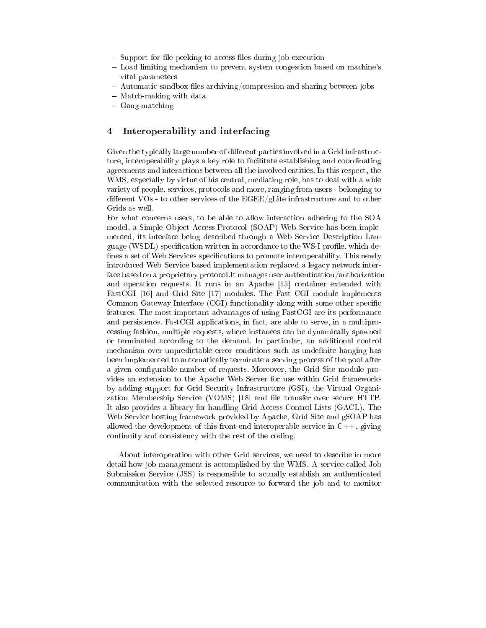- Support for file peeking to access files during job execution
- Load limiting mechanism to prevent system congestion based on machine's vital parameters
- $-$  Automatic sandbox files archiving/compression and sharing between jobs
- Match-making with data
- $-$  Gang-matching

#### Interoperability and interfacing  $\overline{\mathbf{4}}$

Given the typically large number of different parties involved in a Grid infrastructure, interoperability plays a key role to facilitate establishing and coordinating agreements and interactions between all the involved entities. In this respect, the WMS, especially by virtue of his central, mediating role, has to deal with a wide variety of people, services, protocols and more, ranging from users - belonging to different VOs - to other services of the  $EGEE/gLie$  infrastructure and to other Grids as well.

For what concerns users, to be able to allow interaction adhering to the SOA model, a Simple Object Access Protocol (SOAP) Web Service has been implemented, its interface being described through a Web Service Description Language (WSDL) specification written in accordance to the WS-I profile, which defines a set of Web Services specifications to promote interoperability. This newly introduced Web Service based implementation replaced a legacy network interface based on a proprietary protocol. It manages user authentication/authorization and operation requests. It runs in an Apache [15] container extended with Fast CGI [16] and Grid Site [17] modules. The Fast CGI module implements Common Gateway Interface (CGI) functionality along with some other specific features. The most important advantages of using FastCGI are its performance and persistence. Fast CGI applications, in fact, are able to serve, in a multiprocessing fashion, multiple requests, where instances can be dynamically spawned or terminated according to the demand. In particular, an additional control mechanism over unpredictable error conditions such as undefinite hanging has been implemented to automatically terminate a serving process of the pool after a given configurable number of requests. Moreover, the Grid Site module provides an extension to the Apache Web Server for use within Grid frameworks by adding support for Grid Security Infrastructure (GSI), the Virtual Organization Membership Service (VOMS) [18] and file transfer over secure HTTP. It also provides a library for handling Grid Access Control Lists (GACL). The Web Service hosting framework provided by Apache, Grid Site and gSOAP has allowed the development of this front-end interoperable service in  $C_{++}$ , giving continuity and consistency with the rest of the coding.

About interoperation with other Grid services, we need to describe in more detail how job management is accomplished by the WMS. A service called Job Submission Service (JSS) is responsible to actually establish an authenticated communication with the selected resource to forward the job and to monitor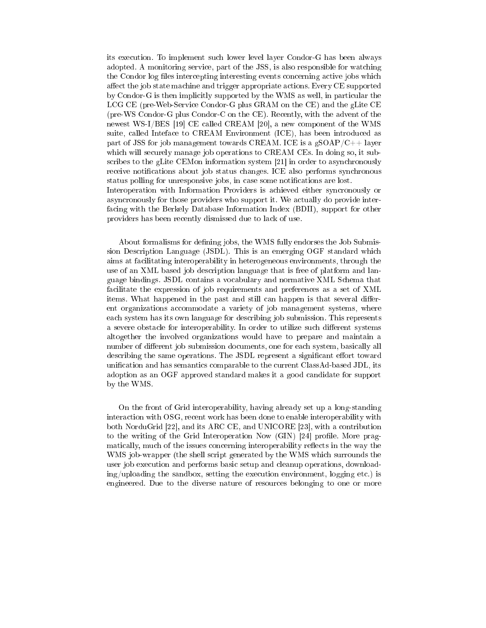its execution. To implement such lower level layer Condor-G has been always adopted. A monitoring service, part of the JSS, is also responsible for watching the Condor log files intercepting interesting events concerning active jobs which affect the job state machine and trigger appropriate actions. Every CE supported by Condor-G is then implicitly supported by the WMS as well, in particular the LCG CE (pre-Web-Service Condor-G plus GRAM on the CE) and the gLite CE (pre-WS Condor-G plus Condor-C on the CE). Recently, with the advent of the newest WS-I/BES [19] CE called CREAM [20], a new component of the WMS suite, called Inteface to CREAM Environment (ICE), has been introduced as part of JSS for job management towards CREAM. ICE is a  $gSORP/C++$  layer which will securely manage job operations to CREAM CEs. In doing so, it subscribes to the gLite CEMon information system [21] in order to asynchronously receive notifications about job status changes. ICE also performs synchronous status polling for unresponsive jobs, in case some notifications are lost. Interoperation with Information Providers is achieved either syncronously or asyncronously for those providers who support it. We actually do provide interfacing with the Berkely Database Information Index (BDII), support for other

providers has been recently dismissed due to lack of use.

About formalisms for defining jobs, the WMS fully endorses the Job Submission Description Language (JSDL). This is an emerging OGF standard which aims at facilitating interoperability in heterogeneous environments, through the use of an XML based job description language that is free of platform and language bindings. JSDL contains a vocabulary and normative XML Schema that facilitate the expression of job requirements and preferences as a set of XML items. What happened in the past and still can happen is that several different organizations accommodate a variety of job management systems, where each system has its own language for describing job submission. This represents a severe obstacle for interoperability. In order to utilize such different systems altogether the involved organizations would have to prepare and maintain a number of different job submission documents, one for each system, basically all describing the same operations. The JSDL represent a significant effort toward unification and has semantics comparable to the current ClassAd-based JDL, its adoption as an OGF approved standard makes it a good candidate for support by the WMS.

On the front of Grid interoperability, having already set up a long-standing interaction with OSG, recent work has been done to enable interoperability with both NorduGrid [22], and its ARC CE, and UNICORE [23], with a contribution to the writing of the Grid Interoperation Now (GIN) [24] profile. More pragmatically, much of the issues concerning interoperability reflects in the way the WMS job-wrapper (the shell script generated by the WMS which surrounds the user job execution and performs basic setup and cleanup operations, download $ing/\text{uploading}$  the sandbox, setting the execution environment, logging etc.) is engineered. Due to the diverse nature of resources belonging to one or more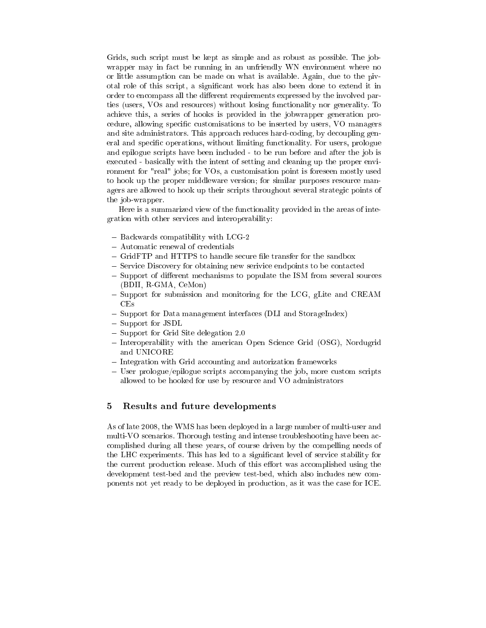Grids, su
h s
ript must be kept as simple and as robust as possible. The jobwrapper may in fact be running in an unfriendly WN environment where no or little assumption an be made on what is available. Again, due to the pivotal role of this script, a significant work has also been done to extend it in order to encompass all the different requirements expressed by the involved parties (users, VOs and resour
es) without losing fun
tionality nor generality. To a
hieve this, a series of hooks is provided in the jobwrapper generation pro edure, allowing spe
i ustomisations to be inserted by users, VO managers and site administrators. This approa
h redu
es hardoding, by de
oupling general and specific operations, without limiting functionality. For users, prologue and epilogue s
ripts have been in
luded - to be run before and after the job is executed - basically with the intent of setting and cleaning up the proper environment for "real" jobs; for VOs, a ustomisation point is foreseen mostly used to hook up the proper middleware version; for similar purposes resour
e managers are allowed to hook up their s
ripts throughout several strategi points of the job-wrapper.

Here is a summarized view of the fun
tionality provided in the areas of integration with other servi
es and interoperability:

- Backwards compatibility with LCG-2
- Automatic renewal of credentials
- GridFTP and HTTPS to handle secure file transfer for the sandbox
- Service Discovery for obtaining new serivice endpoints to be contacted
- Support of different mechanisms to populate the ISM from several sources (BDII, R-GMA, CeMon)
- $-$  Support for submission and monitoring for the LCG, gLite and CREAM CEs
- Support for Data management interfaces (DLI and StorageIndex)
- Support for JSDL
- Support for Grid Site delegation 2.0
- Interoperability with the american Open Science Grid (OSG), Nordugrid and UNICORE
- Integration with Grid accounting and autorization frameworks
- $-$  User prologue/epilogue scripts accompanying the job, more custom scripts allowed to be hooked for use by resour
e and VO administrators

#### $\overline{5}$ Results and future developments

As of late 2008, the WMS has been deployed in a large number of multi-user and multi-VO scenarios. Thorough testing and intense troubleshooting have been acomplished during all these years, of ourse driven by the ompelling needs of the LHC experiments. This has led to a significant level of service stability for the current production release. Much of this effort was accomplished using the development test-bed and the preview test-bed, which also includes new components not yet ready to be deployed in produ
tion, as it was the ase for ICE.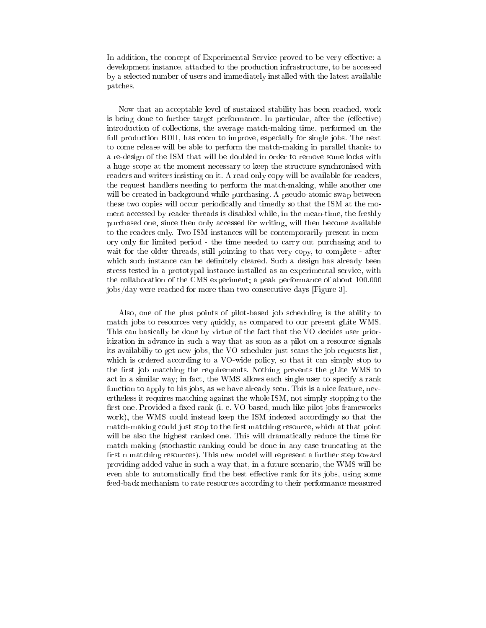In addition, the concept of Experimental Service proved to be very effective: a development instance, attached to the production infrastructure, to be accessed development instance instance in the production interaction in the production interaction in the production in by a sele
ted number of users and immediately installed with the latest available pat
hes.

Now that an acceptable level of sustained stability has been reached, work is being done to further target performance. In particular, after the (effective) introdu
tion of olle
tions, the average mat
h-making time, performed on the full production BDII, has room to improve, especially for single jobs. The next to ome release will be able to perform the mat
h-making in parallel thanks to a re-design of the ISM that will be doubled in order to remove some locks with a huge scope at the moment necessary to keep the structure synchronised with readers and writers insisting on it. A read-only copy will be available for readers. the request handlers needing to perform the match-making, while another one will be created in background while purchasing. A pseudo-atomic swap between these two copies will occur periodically and timedly so that the ISM at the moment accessed by reader threads is disabled while, in the mean-time, the freshly purchased one, since then only accessed for writing, will then become available to the readers only. Two ISM instan
es will be ontemporarily present in memory only for limited period - the time needed to arry out pur
hasing and to wait for the older threads, still pointing to that very copy, to complete - after which such instance can be definitely cleared. Such a design has already been stress tested in a prototypal instance installed as an experimental service, with the ollaboration of the CMS experiment; a peak performan
e of about 100.000 jobs/day were reached for more than two consecutive days [Figure 3].

Also, one of the plus points of pilot-based job s
heduling is the ability to match jobs to resources very quickly, as compared to our present gLite WMS. This can basically be done by virtue of the fact that the VO decides user prioritization in advan
e in su
h a way that as soon as a pilot on a resour
e signals its availabiliy to get new jobs, the VO s
heduler just s
ans the job requests list, which is ordered according to a VO-wide policy, so that it can simply stop to the first job matching the requirements. Nothing prevents the gLite WMS to act in a similar way; in fact, the WMS allows each single user to specify a rank function to apply to his jobs, as we have already seen. This is a nice feature, nevertheless it requires mat
hing against the whole ISM, not simply stopping to the first one. Provided a fixed rank (i. e. VO-based, much like pilot jobs frameworks work), the WMS could instead keep the ISM indexed accordingly so that the match-making could just stop to the first matching resource, which at that point will be also the highest ranked one. This will dramatically reduce the time for match-making (stochastic ranking could be done in any case truncating at the first n matching resources). This new model will represent a further step toward providing added value in su
h a way that, in a future s
enario, the WMS will be even able to automatically find the best effective rank for its jobs, using some feed-back mechanism to rate resources according to their performance measured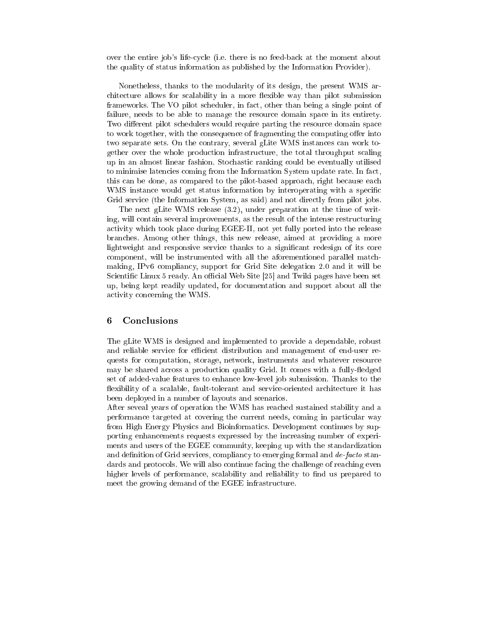over the entire job's lifey
le (i.e. there is no feed-ba
k at the moment about the quality of status information as published by the Information Provider).

Nonetheless, thanks to the modularity of its design, the present WMS ar chitecture allows for scalability in a more flexible way than pilot submission frameworks. The VO pilot s
heduler, in fa
t, other than being a single point of failure, needs to be able to manage the resour
e domain spa
e in its entirety. Two different pilot schedulers would require parting the resource domain space to work together, with the consequence of fragmenting the computing offer into two separate sets. On the contrary, several gLite WMS instances can work together over the whole production infrastructure, the total throughput scaling up in an almost linear fashion. Sto
hasti ranking ould be eventually utilised to minimise latencies coming from the Information System update rate. In fact, this can be done, as compared to the pilot-based approach, right because each WMS instance would get status information by interoperating with a specific Grid service (the Information System, as said) and not directly from pilot jobs.

The next gLite WMS release (3.2), under preparation at the time of writing, will contain several improvements, as the result of the intense restructuring a
tivity whi
h took pla
e during EGEE-II, not yet fully ported into the release bran
hes. Among other things, this new release, aimed at providing a more lightweight and responsive service thanks to a significant redesign of its core omponent, will be instrumented with all the aforementioned parallel mat
hmaking, IPv6 compliancy, support for Grid Site delegation 2.0 and it will be Scientific Linux 5 ready. An official Web Site [25] and Twiki pages have been set up, being kept readily updated, for documentation and support about all the a
tivity on
erning the WMS.

#### 6Con
lusions

The gLite WMS is designed and implemented to provide a dependable, robust and reliable service for efficient distribution and management of end-user requests for omputation, storage, network, instruments and whatever resour
e may be shared across a production quality Grid. It comes with a fully-fledged set of added-value features to enhan
e low-level job submission. Thanks to the flexibility of a scalable, fault-tolerant and service-oriented architecture it has been deployed in a number of layouts and s
enarios.

After seveal years of operation the WMS has rea
hed sustained stability and a performan
e targeted at overing the urrent needs, oming in parti
ular way from High Energy Physics and Bioinformatics. Development continues by supporting enhan
ements requests expressed by the in
reasing number of experiments and users of the EGEE ommunity, keeping up with the standardization and definition of Grid services, compliancy to emerging formal and de-facto standards and protocols. We will also continue facing the challenge of reaching even higher levels of performance, scalability and reliability to find us prepared to meet the growing demand of the EGEE infrastructure.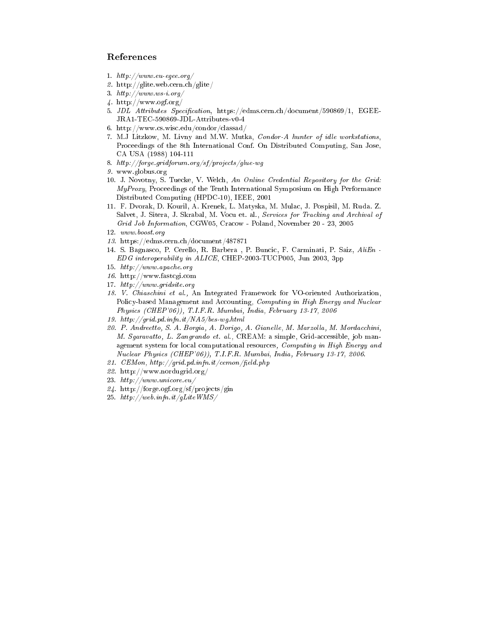## References

- 1.  $http://www.eu-egee.org/$
- 2. http://glite.web.cern.ch/glite/
- 3.  $http://www.ws-i.org/$
- 4. http://www.ogf.org/
- 5. JDL Attributes Specification, https://edms.cern.ch/document/590869/1, EGEE-JRA1-TEC-590869-JDL-Attributes-v0-4
- 6. http://www.cs.wisc.edu/condor/classad/
- 7. M.J Litzkow, M. Livny and M.W. Mutka, Condor-A hunter of idle workstations, Proceedings of the 8th International Conf. On Distributed Computing, San Jose, CA USA (1988) 104-111
- 8. http://forge.gridforum.org/sf/projects/glue-wg
- 9. www.globus.org
- 10. J. Novotny, S. Tuecke, V. Welch, An Online Credential Repository for the Grid:  $MyProxy$ , Proceedings of the Tenth International Symposium on High Performance Distributed Computing (HPDC-10), IEEE, 2001
- 11. F. Dvorak, D. Kouril, A. Krenek, L. Matyska, M. Mulac, J. Pospisil, M. Ruda. Z. Salvet, J. Sitera, J. Skrabal, M. Vocu et. al., Services for Tracking and Archival of Grid Job Information, CGW05, Cracow - Poland, November 20 - 23, 2005
- 12. www.boost.org
- 13. https://edms.cern.ch/document/487871
- 14. S. Bagnasco, P. Cerello, R. Barbera, P. Buncic, F. Carminati, P. Saiz, AliEn -EDG interoperability in ALICE, CHEP-2003-TUCP005, Jun 2003, 3pp
- 15.  $http://www.apache.org$
- 16. http://www.fastcgi.com
- 17.  $http://www.qridsite.org$
- 18. V. Chiaschini et al., An Integrated Framework for VO-oriented Authorization, Policy-based Management and Accounting, Computing in High Energy and Nuclear Physics (CHEP'06)), T.I.F.R. Mumbai, India, February 13-17, 2006
- 19.  $http://grid.pdf.infn.it/NA5/bes-wg.html$
- 20. P. Andreetto, S. A. Borgia, A. Dorigo, A. Gianelle, M. Marzolla, M. Mordacchini, M. Sgaravatto, L. Zangrando et. al., CREAM: a simple, Grid-accessible, job management system for local computational resources, Computing in High Energy and Nuclear Physics (CHEP'06)), T.I.F.R. Mumbai, India, February 13-17, 2006.
- 21. CEMon,  $http://grid.pdf.infn.it/cemon/field.php$
- 22. http://www.nordugrid.org/
- 23.  $http://www.unicore.eu/$
- 24. http://forge.ogf.org/sf/projects/gin
- 25.  $http://web.infn.it/gLikeWMS/$